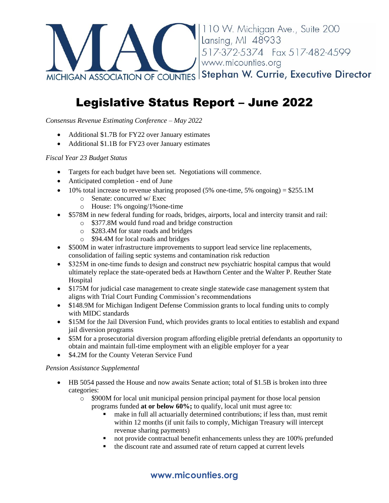

# Legislative Status Report – June 2022

*Consensus Revenue Estimating Conference – May 2022*

- Additional \$1.7B for FY22 over January estimates
- Additional \$1.1B for FY23 over January estimates

## *Fiscal Year 23 Budget Status*

- Targets for each budget have been set. Negotiations will commence.
- Anticipated completion end of June
- 10% total increase to revenue sharing proposed  $(5\%$  one-time, 5% ongoing) = \$255.1M
	- o Senate: concurred w/ Exec
	- o House: 1% ongoing/1%one-time
- \$578M in new federal funding for roads, bridges, airports, local and intercity transit and rail:
	- o \$377.8M would fund road and bridge construction
	- o \$283.4M for state roads and bridges
	- o \$94.4M for local roads and bridges
- \$500M in water infrastructure improvements to support lead service line replacements, consolidation of failing septic systems and contamination risk reduction
- \$325M in one-time funds to design and construct new psychiatric hospital campus that would ultimately replace the state-operated beds at Hawthorn Center and the Walter P. Reuther State Hospital
- \$175M for judicial case management to create single statewide case management system that aligns with Trial Court Funding Commission's recommendations
- \$148.9M for Michigan Indigent Defense Commission grants to local funding units to comply with MIDC standards
- \$15M for the Jail Diversion Fund, which provides grants to local entities to establish and expand jail diversion programs
- \$5M for a prosecutorial diversion program affording eligible pretrial defendants an opportunity to obtain and maintain full-time employment with an eligible employer for a year
- \$4.2M for the County Veteran Service Fund

#### *Pension Assistance Supplemental*

- HB 5054 passed the House and now awaits Senate action; total of \$1.5B is broken into three categories:
	- o \$900M for local unit municipal pension principal payment for those local pension programs funded **at or below 60%;** to qualify, local unit must agree to:
		- make in full all actuarially determined contributions; if less than, must remit within 12 months (if unit fails to comply, Michigan Treasury will intercept revenue sharing payments)
		- not provide contractual benefit enhancements unless they are 100% prefunded
		- the discount rate and assumed rate of return capped at current levels

# **www.micounties.org**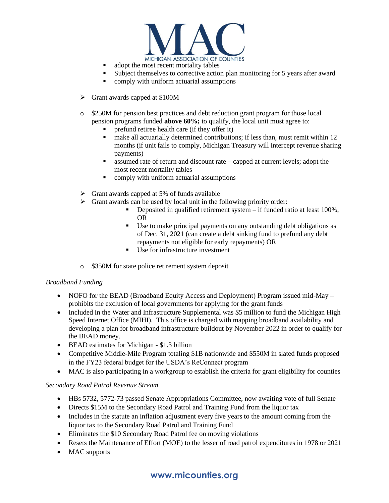

- adopt the most recent mortality tables
- Subject themselves to corrective action plan monitoring for 5 years after award
- comply with uniform actuarial assumptions
- ➢ Grant awards capped at \$100M
- o \$250M for pension best practices and debt reduction grant program for those local pension programs funded **above 60%;** to qualify, the local unit must agree to:
	- prefund retiree health care (if they offer it)
	- make all actuarially determined contributions; if less than, must remit within 12 months (if unit fails to comply, Michigan Treasury will intercept revenue sharing payments)
	- assumed rate of return and discount rate capped at current levels; adopt the most recent mortality tables
	- comply with uniform actuarial assumptions
- $\triangleright$  Grant awards capped at 5% of funds available
- ➢ Grant awards can be used by local unit in the following priority order:
	- Deposited in qualified retirement system if funded ratio at least 100%, OR
	- Use to make principal payments on any outstanding debt obligations as of Dec. 31, 2021 (can create a debt sinking fund to prefund any debt repayments not eligible for early repayments) OR
	- Use for infrastructure investment
- o \$350M for state police retirement system deposit

#### *Broadband Funding*

- NOFO for the BEAD (Broadband Equity Access and Deployment) Program issued mid-May prohibits the exclusion of local governments for applying for the grant funds
- Included in the Water and Infrastructure Supplemental was \$5 million to fund the Michigan High Speed Internet Office (MIHI). This office is charged with mapping broadband availability and developing a plan for broadband infrastructure buildout by November 2022 in order to qualify for the BEAD money.
- BEAD estimates for Michigan \$1.3 billion
- Competitive Middle-Mile Program totaling \$1B nationwide and \$550M in slated funds proposed in the FY23 federal budget for the USDA's ReConnect program
- MAC is also participating in a workgroup to establish the criteria for grant eligibility for counties

#### *Secondary Road Patrol Revenue Stream*

- HBs 5732, 5772-73 passed Senate Appropriations Committee, now awaiting vote of full Senate
- Directs \$15M to the Secondary Road Patrol and Training Fund from the liquor tax
- Includes in the statute an inflation adjustment every five years to the amount coming from the liquor tax to the Secondary Road Patrol and Training Fund
- Eliminates the \$10 Secondary Road Patrol fee on moving violations
- Resets the Maintenance of Effort (MOE) to the lesser of road patrol expenditures in 1978 or 2021
- MAC supports

## **www.micounties.org**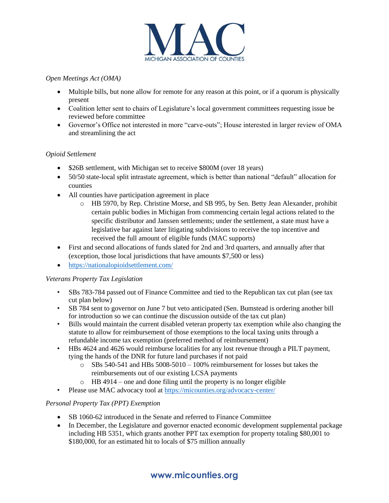

#### *Open Meetings Act (OMA)*

- Multiple bills, but none allow for remote for any reason at this point, or if a quorum is physically present
- Coalition letter sent to chairs of Legislature's local government committees requesting issue be reviewed before committee
- Governor's Office not interested in more "carve-outs"; House interested in larger review of OMA and streamlining the act

#### *Opioid Settlement*

- \$26B settlement, with Michigan set to receive \$800M (over 18 years)
- 50/50 state-local split intrastate agreement, which is better than national "default" allocation for counties
- All counties have participation agreement in place
	- o HB 5970, by Rep. Christine Morse, and SB 995, by Sen. Betty Jean Alexander, prohibit certain public bodies in Michigan from commencing certain legal actions related to the specific distributor and Janssen settlements; under the settlement, a state must have a legislative bar against later litigating subdivisions to receive the top incentive and received the full amount of eligible funds (MAC supports)
- First and second allocations of funds slated for 2nd and 3rd quarters, and annually after that (exception, those local jurisdictions that have amounts \$7,500 or less)
- <https://nationalopioidsettlement.com/>

## *Veterans Property Tax Legislation*

- SBs 783-784 passed out of Finance Committee and tied to the Republican tax cut plan (see tax cut plan below)
- SB 784 sent to governor on June 7 but veto anticipated (Sen. Bumstead is ordering another bill for introduction so we can continue the discussion outside of the tax cut plan)
- Bills would maintain the current disabled veteran property tax exemption while also changing the statute to allow for reimbursement of those exemptions to the local taxing units through a refundable income tax exemption (preferred method of reimbursement)
- HBs 4624 and 4626 would reimburse localities for any lost revenue through a PILT payment, tying the hands of the DNR for future land purchases if not paid
	- $\circ$  SBs 540-541 and HBs 5008-5010 100% reimbursement for losses but takes the reimbursements out of our existing LCSA payments
	- o HB 4914 one and done filing until the property is no longer eligible
- Please use MAC advocacy tool at<https://micounties.org/advocacy-center/>

## *Personal Property Tax (PPT) Exemption*

- SB 1060-62 introduced in the Senate and referred to Finance Committee
- In December, the Legislature and governor enacted economic development supplemental package including HB 5351, which grants another PPT tax exemption for property totaling \$80,001 to \$180,000, for an estimated hit to locals of \$75 million annually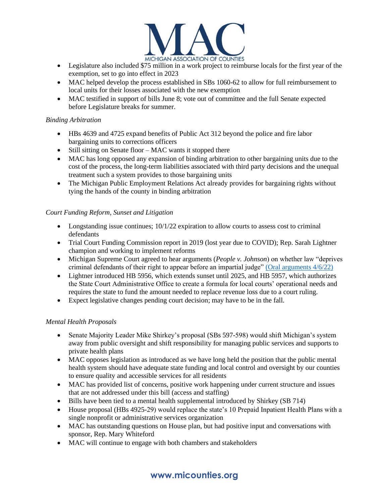

- Legislature also included \$75 million in a work project to reimburse locals for the first year of the exemption, set to go into effect in 2023
- MAC helped develop the process established in SBs 1060-62 to allow for full reimbursement to local units for their losses associated with the new exemption
- MAC testified in support of bills June 8; vote out of committee and the full Senate expected before Legislature breaks for summer.

## *Binding Arbitration*

- HBs 4639 and 4725 expand benefits of Public Act 312 beyond the police and fire labor bargaining units to corrections officers
- Still sitting on Senate floor MAC wants it stopped there
- MAC has long opposed any expansion of binding arbitration to other bargaining units due to the cost of the process, the long-term liabilities associated with third party decisions and the unequal treatment such a system provides to those bargaining units
- The Michigan Public Employment Relations Act already provides for bargaining rights without tying the hands of the county in binding arbitration

## *Court Funding Reform, Sunset and Litigation*

- Longstanding issue continues;  $10/1/22$  expiration to allow courts to assess cost to criminal defendants
- Trial Court Funding Commission report in 2019 (lost year due to COVID); Rep. Sarah Lightner champion and working to implement reforms
- Michigan Supreme Court agreed to hear arguments (*People v. Johnson*) on whether law "deprives criminal defendants of their right to appear before an impartial judge" [\(Oral arguments 4/6/22\)](https://www.youtube.com/watch?v=qP1MiB4rfyI)
- Lightner introduced HB 5956, which extends sunset until 2025, and HB 5957, which authorizes the State Court Administrative Office to create a formula for local courts' operational needs and requires the state to fund the amount needed to replace revenue loss due to a court ruling.
- Expect legislative changes pending court decision; may have to be in the fall.

## *Mental Health Proposals*

- Senate Majority Leader Mike Shirkey's proposal (SBs 597-598) would shift Michigan's system away from public oversight and shift responsibility for managing public services and supports to private health plans
- MAC opposes legislation as introduced as we have long held the position that the public mental health system should have adequate state funding and local control and oversight by our counties to ensure quality and accessible services for all residents
- MAC has provided list of concerns, positive work happening under current structure and issues that are not addressed under this bill (access and staffing)
- Bills have been tied to a mental health supplemental introduced by Shirkey (SB 714)
- House proposal (HBs 4925-29) would replace the state's 10 Prepaid Inpatient Health Plans with a single nonprofit or administrative services organization
- MAC has outstanding questions on House plan, but had positive input and conversations with sponsor, Rep. Mary Whiteford
- MAC will continue to engage with both chambers and stakeholders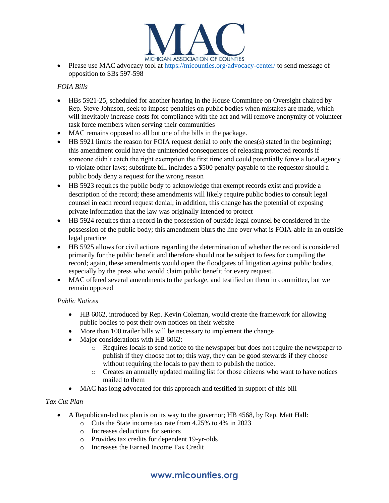

Please use MAC advocacy tool at<https://micounties.org/advocacy-center/> to send message of opposition to SBs 597-598

## *FOIA Bills*

- HBs 5921-25, scheduled for another hearing in the House Committee on Oversight chaired by Rep. Steve Johnson, seek to impose penalties on public bodies when mistakes are made, which will inevitably increase costs for compliance with the act and will remove anonymity of volunteer task force members when serving their communities
- MAC remains opposed to all but one of the bills in the package.
- HB 5921 limits the reason for FOIA request denial to only the ones(s) stated in the beginning; this amendment could have the unintended consequences of releasing protected records if someone didn't catch the right exemption the first time and could potentially force a local agency to violate other laws; substitute bill includes a \$500 penalty payable to the requestor should a public body deny a request for the wrong reason
- HB 5923 requires the public body to acknowledge that exempt records exist and provide a description of the record; these amendments will likely require public bodies to consult legal counsel in each record request denial; in addition, this change has the potential of exposing private information that the law was originally intended to protect
- HB 5924 requires that a record in the possession of outside legal counsel be considered in the possession of the public body; this amendment blurs the line over what is FOIA-able in an outside legal practice
- HB 5925 allows for civil actions regarding the determination of whether the record is considered primarily for the public benefit and therefore should not be subject to fees for compiling the record; again, these amendments would open the floodgates of litigation against public bodies, especially by the press who would claim public benefit for every request.
- MAC offered several amendments to the package, and testified on them in committee, but we remain opposed

#### *Public Notices*

- HB 6062, introduced by Rep. Kevin Coleman, would create the framework for allowing public bodies to post their own notices on their website
- More than 100 trailer bills will be necessary to implement the change
- Major considerations with HB 6062:
	- o Requires locals to send notice to the newspaper but does not require the newspaper to publish if they choose not to; this way, they can be good stewards if they choose without requiring the locals to pay them to publish the notice.
	- o Creates an annually updated mailing list for those citizens who want to have notices mailed to them
- MAC has long advocated for this approach and testified in support of this bill

## *Tax Cut Plan*

- A Republican-led tax plan is on its way to the governor; HB 4568, by Rep. Matt Hall:
	- o Cuts the State income tax rate from 4.25% to 4% in 2023
	- o Increases deductions for seniors
	- o Provides tax credits for dependent 19-yr-olds
	- o Increases the Earned Income Tax Credit

# **www.micounties.org**